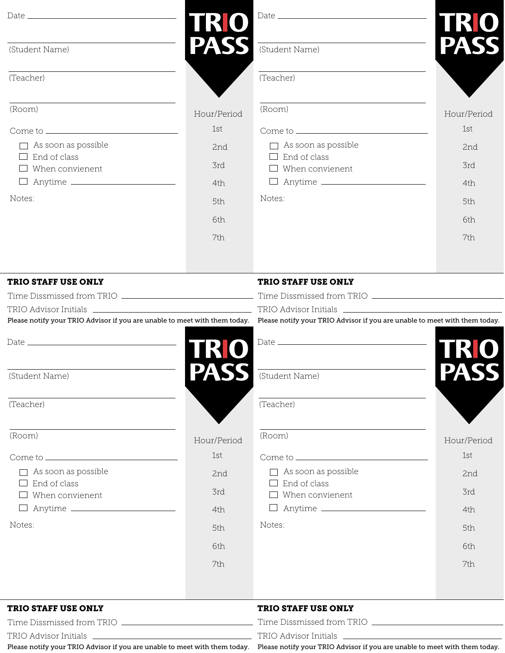|                                                        |                     |                                                                                                                                                       | TRO         |
|--------------------------------------------------------|---------------------|-------------------------------------------------------------------------------------------------------------------------------------------------------|-------------|
| (Student Name)                                         | <b>TRO<br/>PASS</b> | (Student Name)                                                                                                                                        | PASS        |
| (Teacher)                                              |                     | (Teacher)                                                                                                                                             |             |
| (Room)                                                 | Hour/Period         | (Room)                                                                                                                                                | Hour/Period |
|                                                        | 1st                 |                                                                                                                                                       | 1st         |
| $\Box$ As soon as possible                             | 2nd                 | $\Box$ As soon as possible                                                                                                                            | 2nd         |
| $\Box$ End of class<br>When convienent<br>$\mathbf{L}$ | 3rd                 | $\Box$ End of class<br>$\Box$ When convienent                                                                                                         | 3rd         |
|                                                        | 4th                 | □ Anytime <u>____________________</u>                                                                                                                 | 4th         |
| Notes:                                                 | 5th                 | Notes:                                                                                                                                                | 5th         |
|                                                        | 6th                 |                                                                                                                                                       | 6th         |
|                                                        | 7th                 |                                                                                                                                                       | 7th         |
| <b>TRIO STAFF USE ONLY</b>                             |                     | <b>TRIO STAFF USE ONLY</b>                                                                                                                            |             |
|                                                        |                     |                                                                                                                                                       |             |
|                                                        | <b>TRIO</b>         | Please notify your TRIO Advisor if you are unable to meet with them today. Please notify your TRIO Advisor if you are unable to meet with them today. |             |
| (Student Name)                                         |                     | (Student Name)                                                                                                                                        |             |
| (Teacher)                                              |                     | (Teacher)                                                                                                                                             |             |
| (Room)                                                 | Hour/Period         | (Room)                                                                                                                                                | Hour/Period |
|                                                        | 1st                 |                                                                                                                                                       | 1st         |
| $\Box$ As soon as possible                             | 2nd                 | $\Box$ As soon as possible                                                                                                                            | 2nd         |
| $\Box$ End of class<br>When convienent                 | 3rd                 | $\Box$ End of class<br>$\Box$ When convienent                                                                                                         | 3rd         |
|                                                        | 4th                 |                                                                                                                                                       | 4th         |
| Notes:                                                 | 5th                 | Notes:                                                                                                                                                | 5th         |
|                                                        | 6th                 |                                                                                                                                                       | 6th         |
|                                                        | 7th                 |                                                                                                                                                       | 7th         |
|                                                        |                     |                                                                                                                                                       |             |
| <b>TRIA CRAPP HOP ANTY</b>                             |                     | <b><i><u>EDIA CEARE HIGH ANIW</u></i></b>                                                                                                             |             |

#### TRIO STAFF USE ONLY

Time Dissmissed from TRIO

TRIO Advisor Initials

#### TRIO STAFF USE ONLY

Time Dissmissed from TRIO

TRIO Advisor Initials

Please notify your TRIO Advisor if you are unable to meet with them today. Please notify your TRIO Advisor if you are unable to meet with them today.